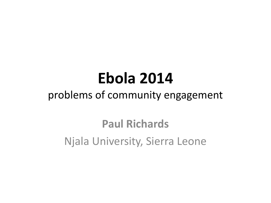# **Ebola 2014**

### problems of community engagement

### **Paul Richards** Njala University, Sierra Leone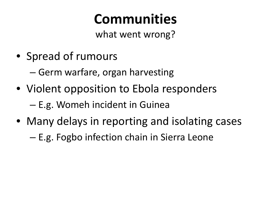## **Communities**

what went wrong?

• Spread of rumours

– Germ warfare, organ harvesting

- Violent opposition to Ebola responders – E.g. Womeh incident in Guinea
- Many delays in reporting and isolating cases
	- E.g. Fogbo infection chain in Sierra Leone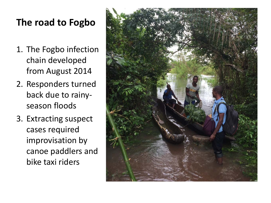#### **The road to Fogbo**

- 1. The Fogbo infection chain developed from August 2014
- 2. Responders turned back due to rainyseason floods
- 3. Extracting suspect cases required improvisation by canoe paddlers and bike taxi riders

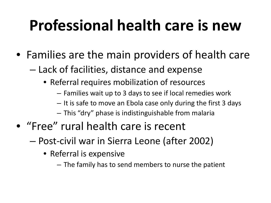# **Professional health care is new**

- Families are the main providers of health care
	- Lack of facilities, distance and expense
		- Referral requires mobilization of resources
			- Families wait up to 3 days to see if local remedies work
			- It is safe to move an Ebola case only during the first 3 days
			- This "dry" phase is indistinguishable from malaria
- "Free" rural health care is recent
	- Post-civil war in Sierra Leone (after 2002)
		- Referral is expensive
			- The family has to send members to nurse the patient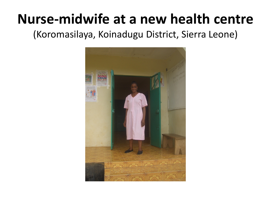### **Nurse-midwife at a new health centre**

(Koromasilaya, Koinadugu District, Sierra Leone)

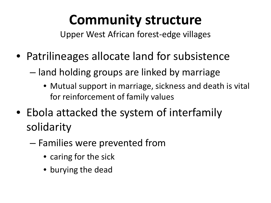## **Community structure**

Upper West African forest-edge villages

- Patrilineages allocate land for subsistence
	- land holding groups are linked by marriage
		- Mutual support in marriage, sickness and death is vital for reinforcement of family values
- Ebola attacked the system of interfamily solidarity
	- Families were prevented from
		- caring for the sick
		- burying the dead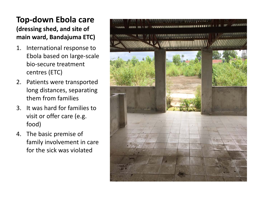#### **Top-down Ebola care (dressing shed, and site of main ward, Bandajuma ETC)**

- 1. International response to Ebola based on large-scale bio-secure treatment centres (ETC)
- 2. Patients were transported long distances, separating them from families
- 3. It was hard for families to visit or offer care (e.g. food)
- 4. The basic premise of family involvement in care for the sick was violated

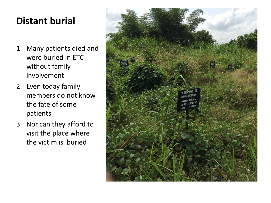#### **Distant burial**

- 1. Many patients died and were buried in ETC without family involvement
- 2. Even today family members do not know the fate of some patients
- 3. Nor can they afford to visit the place where the victim is buried

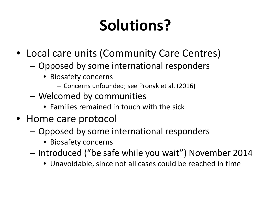# **Solutions?**

- Local care units (Community Care Centres)
	- Opposed by some international responders
		- Biosafety concerns
			- Concerns unfounded; see Pronyk et al. (2016)
	- Welcomed by communities
		- Families remained in touch with the sick
- Home care protocol
	- Opposed by some international responders
		- Biosafety concerns
	- Introduced ("be safe while you wait") November 2014
		- Unavoidable, since not all cases could be reached in time